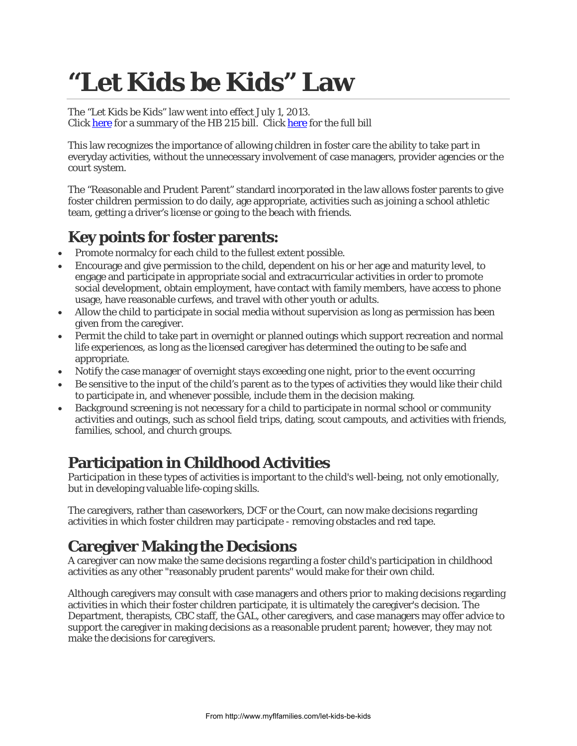# **"Let Kids be Kids" Law**

The "Let Kids be Kids" law went into effect July 1, 2013. Clic[k here](http://www.flsenate.gov/PublishedContent/Session/2013/BillSummary/Children,_CF0215cf_0215.pdf) for a summary of the HB 215 bill. Click [here](http://laws.flrules.org/2013/21) for the full bill

This law recognizes the importance of allowing children in foster care the ability to take part in everyday activities, without the unnecessary involvement of case managers, provider agencies or the court system.

The "Reasonable and Prudent Parent" standard incorporated in the law allows foster parents to give foster children permission to do daily, age appropriate, activities such as joining a school athletic team, getting a driver's license or going to the beach with friends.

## **Key points for foster parents:**

- Promote normalcy for each child to the fullest extent possible.
- Encourage and give permission to the child, dependent on his or her age and maturity level, to engage and participate in appropriate social and extracurricular activities in order to promote social development, obtain employment, have contact with family members, have access to phone usage, have reasonable curfews, and travel with other youth or adults.
- Allow the child to participate in social media without supervision as long as permission has been given from the caregiver.
- Permit the child to take part in overnight or planned outings which support recreation and normal life experiences, as long as the licensed caregiver has determined the outing to be safe and appropriate.
- Notify the case manager of overnight stays exceeding one night, prior to the event occurring
- Be sensitive to the input of the child's parent as to the types of activities they would like their child to participate in, and whenever possible, include them in the decision making.
- Background screening is not necessary for a child to participate in normal school or community activities and outings, such as school field trips, dating, scout campouts, and activities with friends, families, school, and church groups.

## **Participation in Childhood Activities**

Participation in these types of activities is important to the child's well-being, not only emotionally, but in developing valuable life-coping skills.

The caregivers, rather than caseworkers, DCF or the Court, can now make decisions regarding activities in which foster children may participate - removing obstacles and red tape.

## **Caregiver Making the Decisions**

A caregiver can now make the same decisions regarding a foster child's participation in childhood activities as any other "reasonably prudent parents" would make for their own child.

Although caregivers may consult with case managers and others prior to making decisions regarding activities in which their foster children participate, it is ultimately the caregiver's decision. The Department, therapists, CBC staff, the GAL, other caregivers, and case managers may offer advice to support the caregiver in making decisions as a reasonable prudent parent; however, they may not make the decisions for caregivers.